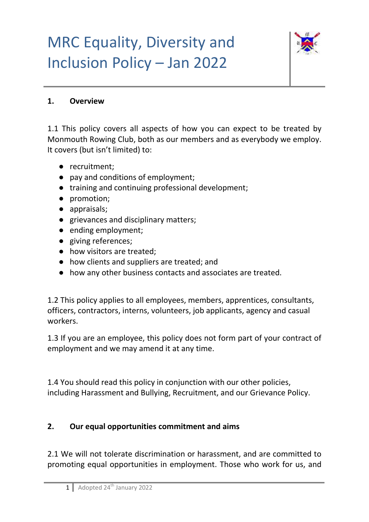

#### **1. Overview**

1.1 This policy covers all aspects of how you can expect to be treated by Monmouth Rowing Club, both as our members and as everybody we employ. It covers (but isn't limited) to:

- recruitment;
- pay and conditions of employment;
- training and continuing professional development;
- promotion;
- appraisals;
- grievances and disciplinary matters;
- ending employment;
- giving references;
- how visitors are treated;
- how clients and suppliers are treated; and
- how any other business contacts and associates are treated.

1.2 This policy applies to all employees, members, apprentices, consultants, officers, contractors, interns, volunteers, job applicants, agency and casual workers.

1.3 If you are an employee, this policy does not form part of your contract of employment and we may amend it at any time.

1.4 You should read this policy in conjunction with our other policies, including Harassment and Bullying, Recruitment, and our Grievance Policy.

### **2. Our equal opportunities commitment and aims**

2.1 We will not tolerate discrimination or harassment, and are committed to promoting equal opportunities in employment. Those who work for us, and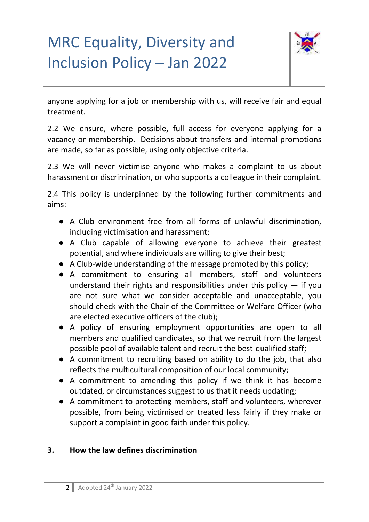

anyone applying for a job or membership with us, will receive fair and equal treatment.

2.2 We ensure, where possible, full access for everyone applying for a vacancy or membership. Decisions about transfers and internal promotions are made, so far as possible, using only objective criteria.

2.3 We will never victimise anyone who makes a complaint to us about harassment or discrimination, or who supports a colleague in their complaint.

2.4 This policy is underpinned by the following further commitments and aims:

- A Club environment free from all forms of unlawful discrimination, including victimisation and harassment;
- A Club capable of allowing everyone to achieve their greatest potential, and where individuals are willing to give their best;
- A Club-wide understanding of the message promoted by this policy;
- A commitment to ensuring all members, staff and volunteers understand their rights and responsibilities under this policy  $-$  if you are not sure what we consider acceptable and unacceptable, you should check with the Chair of the Committee or Welfare Officer (who are elected executive officers of the club);
- A policy of ensuring employment opportunities are open to all members and qualified candidates, so that we recruit from the largest possible pool of available talent and recruit the best-qualified staff;
- A commitment to recruiting based on ability to do the job, that also reflects the multicultural composition of our local community;
- A commitment to amending this policy if we think it has become outdated, or circumstances suggest to us that it needs updating;
- A commitment to protecting members, staff and volunteers, wherever possible, from being victimised or treated less fairly if they make or support a complaint in good faith under this policy.

#### **3. How the law defines discrimination**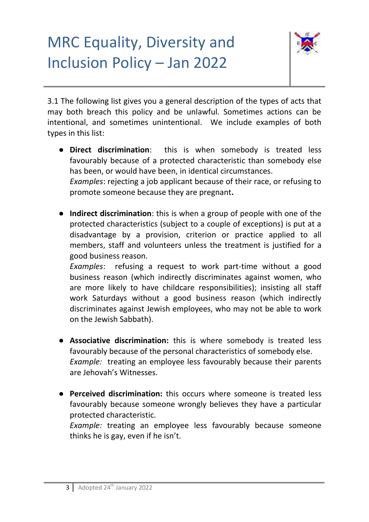

3.1 The following list gives you a general description of the types of acts that may both breach this policy and be unlawful. Sometimes actions can be intentional, and sometimes unintentional. We include examples of both types in this list:

● **Direct discrimination**: this is when somebody is treated less favourably because of a protected characteristic than somebody else has been, or would have been, in identical circumstances. *Examples*: rejecting a job applicant because of their race, or refusing to

promote someone because they are pregnant**.**

● **Indirect discrimination**: this is when a group of people with one of the protected characteristics (subject to a couple of exceptions) is put at a disadvantage by a provision, criterion or practice applied to all members, staff and volunteers unless the treatment is justified for a good business reason.

*Examples*: refusing a request to work part-time without a good business reason (which indirectly discriminates against women, who are more likely to have childcare responsibilities); insisting all staff work Saturdays without a good business reason (which indirectly discriminates against Jewish employees, who may not be able to work on the Jewish Sabbath).

- **Associative discrimination:** this is where somebody is treated less favourably because of the personal characteristics of somebody else. *Example:* treating an employee less favourably because their parents are Jehovah's Witnesses.
- **Perceived discrimination:** this occurs where someone is treated less favourably because someone wrongly believes they have a particular protected characteristic.

*Example:* treating an employee less favourably because someone thinks he is gay, even if he isn't.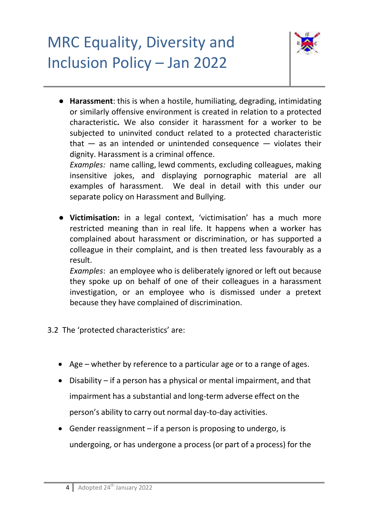

● **Harassment**: this is when a hostile, humiliating, degrading, intimidating or similarly offensive environment is created in relation to a protected characteristic**.** We also consider it harassment for a worker to be subjected to uninvited conduct related to a protected characteristic that  $-$  as an intended or unintended consequence  $-$  violates their dignity. Harassment is a criminal offence.

*Examples:* name calling, lewd comments, excluding colleagues, making insensitive jokes, and displaying pornographic material are all examples of harassment. We deal in detail with this under our separate policy on Harassment and Bullying.

● **Victimisation:** in a legal context, 'victimisation' has a much more restricted meaning than in real life. It happens when a worker has complained about harassment or discrimination, or has supported a colleague in their complaint, and is then treated less favourably as a result.

*Examples*: an employee who is deliberately ignored or left out because they spoke up on behalf of one of their colleagues in a harassment investigation, or an employee who is dismissed under a pretext because they have complained of discrimination.

- 3.2 The 'protected characteristics' are:
	- Age whether by reference to a particular age or to a range of ages.
	- $\bullet$  Disability if a person has a physical or mental impairment, and that impairment has a substantial and long-term adverse effect on the person's ability to carry out normal day-to-day activities.
	- Gender reassignment if a person is proposing to undergo, is undergoing, or has undergone a process (or part of a process) for the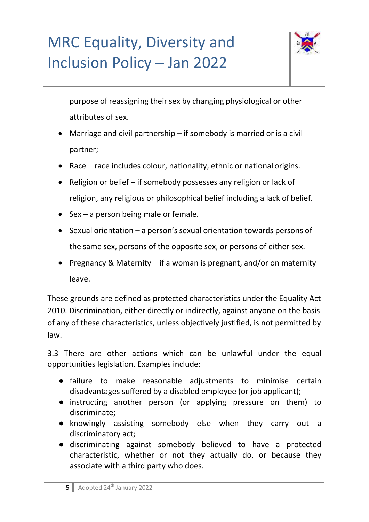

purpose of reassigning their sex by changing physiological or other attributes of sex.

- Marriage and civil partnership if somebody is married or is a civil partner;
- Race race includes colour, nationality, ethnic or national origins.
- Religion or belief if somebody possesses any religion or lack of religion, any religious or philosophical belief including a lack of belief.
- $\bullet$  Sex a person being male or female.
- Sexual orientation a person's sexual orientation towards persons of the same sex, persons of the opposite sex, or persons of either sex.
- Pregnancy & Maternity if a woman is pregnant, and/or on maternity leave.

These grounds are defined as protected characteristics under the Equality Act 2010. Discrimination, either directly or indirectly, against anyone on the basis of any of these characteristics, unless objectively justified, is not permitted by law.

3.3 There are other actions which can be unlawful under the equal opportunities legislation. Examples include:

- failure to make reasonable adjustments to minimise certain disadvantages suffered by a disabled employee (or job applicant);
- instructing another person (or applying pressure on them) to discriminate;
- knowingly assisting somebody else when they carry out a discriminatory act;
- discriminating against somebody believed to have a protected characteristic, whether or not they actually do, or because they associate with a third party who does.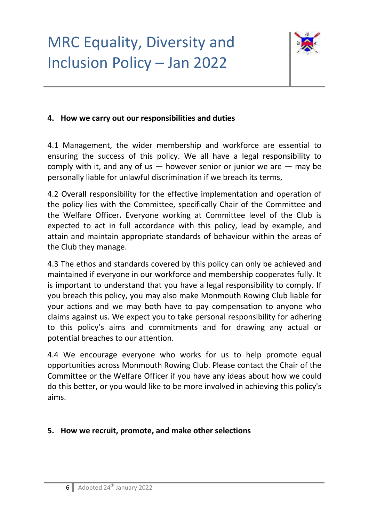

#### **4. How we carry out our responsibilities and duties**

4.1 Management, the wider membership and workforce are essential to ensuring the success of this policy. We all have a legal responsibility to comply with it, and any of us  $-$  however senior or junior we are  $-$  may be personally liable for unlawful discrimination if we breach its terms,

4.2 Overall responsibility for the effective implementation and operation of the policy lies with the Committee, specifically Chair of the Committee and the Welfare Officer**.** Everyone working at Committee level of the Club is expected to act in full accordance with this policy, lead by example, and attain and maintain appropriate standards of behaviour within the areas of the Club they manage.

4.3 The ethos and standards covered by this policy can only be achieved and maintained if everyone in our workforce and membership cooperates fully. It is important to understand that you have a legal responsibility to comply. If you breach this policy, you may also make Monmouth Rowing Club liable for your actions and we may both have to pay compensation to anyone who claims against us. We expect you to take personal responsibility for adhering to this policy's aims and commitments and for drawing any actual or potential breaches to our attention.

4.4 We encourage everyone who works for us to help promote equal opportunities across Monmouth Rowing Club. Please contact the Chair of the Committee or the Welfare Officer if you have any ideas about how we could do this better, or you would like to be more involved in achieving this policy's aims.

#### **5. How we recruit, promote, and make other selections**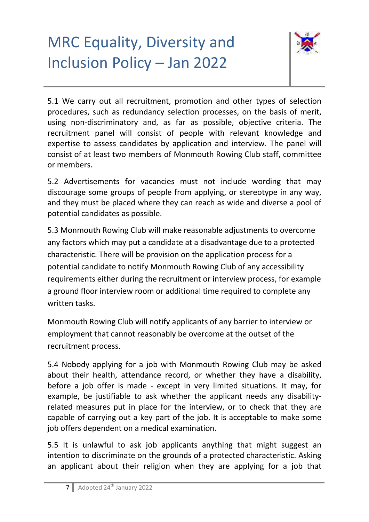

5.1 We carry out all recruitment, promotion and other types of selection procedures, such as redundancy selection processes, on the basis of merit, using non-discriminatory and, as far as possible, objective criteria. The recruitment panel will consist of people with relevant knowledge and expertise to assess candidates by application and interview. The panel will consist of at least two members of Monmouth Rowing Club staff, committee or members.

5.2 Advertisements for vacancies must not include wording that may discourage some groups of people from applying, or stereotype in any way, and they must be placed where they can reach as wide and diverse a pool of potential candidates as possible.

5.3 Monmouth Rowing Club will make reasonable adjustments to overcome any factors which may put a candidate at a disadvantage due to a protected characteristic. There will be provision on the application process for a potential candidate to notify Monmouth Rowing Club of any accessibility requirements either during the recruitment or interview process, for example a ground floor interview room or additional time required to complete any written tasks.

Monmouth Rowing Club will notify applicants of any barrier to interview or employment that cannot reasonably be overcome at the outset of the recruitment process.

5.4 Nobody applying for a job with Monmouth Rowing Club may be asked about their health, attendance record, or whether they have a disability, before a job offer is made - except in very limited situations. It may, for example, be justifiable to ask whether the applicant needs any disabilityrelated measures put in place for the interview, or to check that they are capable of carrying out a key part of the job. It is acceptable to make some job offers dependent on a medical examination.

5.5 It is unlawful to ask job applicants anything that might suggest an intention to discriminate on the grounds of a protected characteristic. Asking an applicant about their religion when they are applying for a job that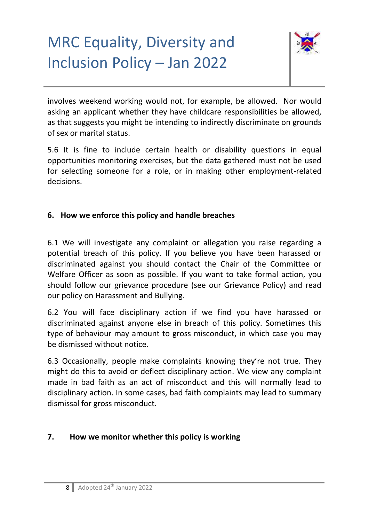

involves weekend working would not, for example, be allowed. Nor would asking an applicant whether they have childcare responsibilities be allowed, as that suggests you might be intending to indirectly discriminate on grounds of sex or marital status.

5.6 It is fine to include certain health or disability questions in equal opportunities monitoring exercises, but the data gathered must not be used for selecting someone for a role, or in making other employment-related decisions.

### **6. How we enforce this policy and handle breaches**

6.1 We will investigate any complaint or allegation you raise regarding a potential breach of this policy. If you believe you have been harassed or discriminated against you should contact the Chair of the Committee or Welfare Officer as soon as possible. If you want to take formal action, you should follow our grievance procedure (see our Grievance Policy) and read our policy on Harassment and Bullying.

6.2 You will face disciplinary action if we find you have harassed or discriminated against anyone else in breach of this policy. Sometimes this type of behaviour may amount to gross misconduct, in which case you may be dismissed without notice.

6.3 Occasionally, people make complaints knowing they're not true. They might do this to avoid or deflect disciplinary action. We view any complaint made in bad faith as an act of misconduct and this will normally lead to disciplinary action. In some cases, bad faith complaints may lead to summary dismissal for gross misconduct.

#### **7. How we monitor whether this policy is working**